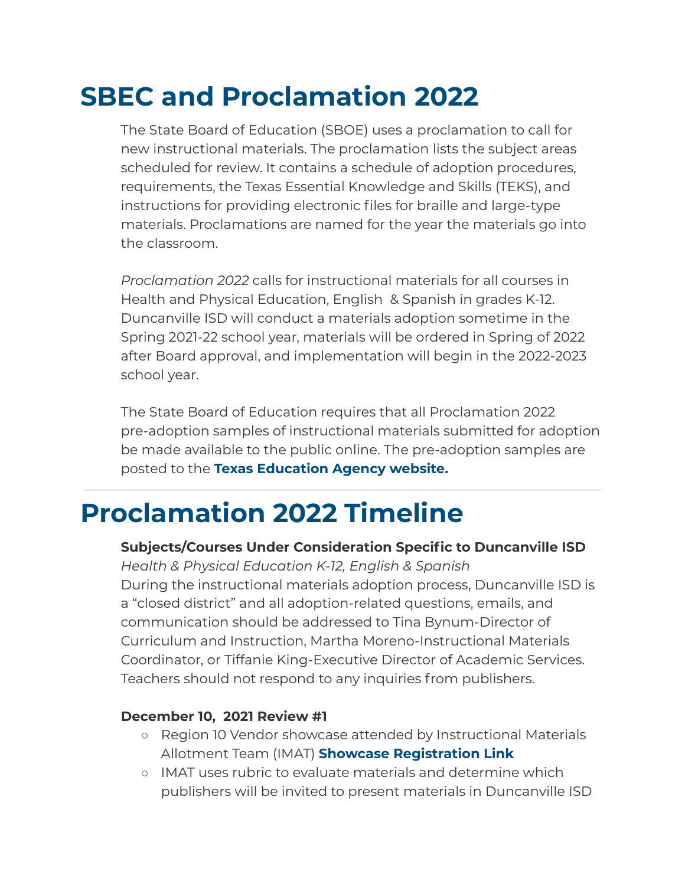# **SBEC and Proclamation 2022**

The State Board of Education (SBOE) uses a proclamation to call for new instructional materials. The proclamation lists the subject areas scheduled for review. It contains a schedule of adoption procedures, requirements, the Texas Essential Knowledge and Skills (TEKS), and instructions for providing electronic files for braille and large-type materials. Proclamations are named for the year the materials go into the classroom.

*Proclamation 2022* calls for instructional materials for all courses in Health and Physical Education, English & Spanish in grades K-12. Duncanville ISD will conduct a materials adoption sometime in the Spring 2021-22 school year, materials will be ordered in Spring of 2022 after Board approval, and implementation will begin in the 2022-2023 school year.

The State Board of Education requires that all Proclamation 2022 pre-adoption samples of instructional materials submitted for adoption be made available to the public online. The pre-adoption samples are posted to the **Texas [Education](http://tea.texas.gov/IMET/Proclamation_2017_Pre-Adoption_Samples/) Agency website.**

# **Proclamation 2022 Timeline**

# **Subjects/Courses Under Consideration Specific to Duncanville ISD**

*Health & Physical Education K-12, English & Spanish* During the instructional materials adoption process, Duncanville ISD is a "closed district" and all adoption-related questions, emails, and communication should be addressed to Tina Bynum-Director of Curriculum and Instruction, Martha Moreno-Instructional Materials Coordinator, or Tiffanie King-Executive Director of Academic Services. Teachers should not respond to any inquiries from publishers.

### **December 10, 2021 Review #1**

- Region 10 Vendor showcase attended by Instructional Materials Allotment Team (IMAT) **Showcase [Registration](https://www.smore.com/app/reporting/out/qfuev?u=https%3A%2F%2Ftxr10.escworks.net%2Fcatalog%2Fsession.aspx%3Fsession_id%3D2641955&t=Register%20for%20this%20FREE%20event%20today&w=w-7593074536&i=&l=l-8507406447) Link**
- IMAT uses rubric to evaluate materials and determine which publishers will be invited to present materials in Duncanville ISD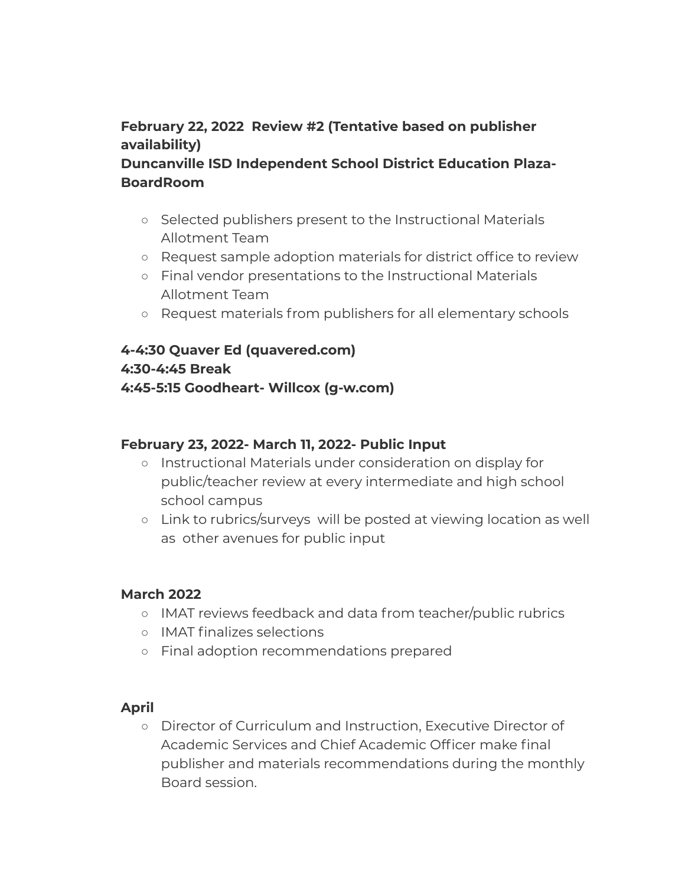# **February 22, 2022 Review #2 (Tentative based on publisher availability)**

## **Duncanville ISD Independent School District Education Plaza-BoardRoom**

- Selected publishers present to the Instructional Materials Allotment Team
- Request sample adoption materials for district office to review
- Final vendor presentations to the Instructional Materials Allotment Team
- Request materials from publishers for all elementary schools

## **4-4:30 Quaver Ed (quavered.com) 4:30-4:45 Break 4:45-5:15 Goodheart- Willcox (g-w.com)**

#### **February 23, 2022- March 11, 2022- Public Input**

- Instructional Materials under consideration on display for public/teacher review at every intermediate and high school school campus
- Link to rubrics/surveys will be posted at viewing location as well as other avenues for public input

#### **March 2022**

- IMAT reviews feedback and data from teacher/public rubrics
- IMAT finalizes selections
- Final adoption recommendations prepared

#### **April**

○ Director of Curriculum and Instruction, Executive Director of Academic Services and Chief Academic Officer make final publisher and materials recommendations during the monthly Board session.